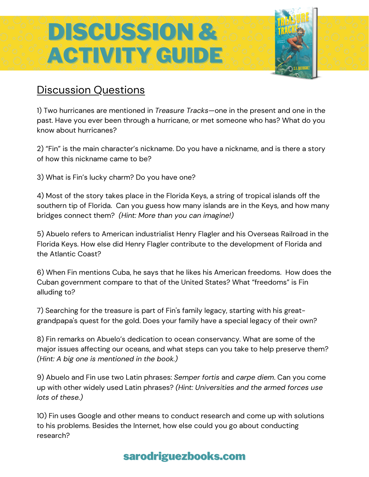# DISCUSSION & ACTIVITY GUIDE

#### Discussion Questions

1) Two hurricanes are mentioned in *Treasure Tracks*—one in the present and one in the past. Have you ever been through a hurricane, or met someone who has? What do you know about hurricanes?

2) "Fin" is the main character's nickname. Do you have a nickname, and is there a story of how this nickname came to be?

3) What is Fin's lucky charm? Do you have one?

4) Most of the story takes place in the Florida Keys, a string of tropical islands off the southern tip of Florida. Can you guess how many islands are in the Keys, and how many bridges connect them? *(Hint: More than you can imagine!)*

5) Abuelo refers to American industrialist Henry Flagler and his Overseas Railroad in the Florida Keys. How else did Henry Flagler contribute to the development of Florida and the Atlantic Coast?

6) When Fin mentions Cuba, he says that he likes his American freedoms. How does the Cuban government compare to that of the United States? What "freedoms" is Fin alluding to?

7) Searching for the treasure is part of Fin's family legacy, starting with his greatgrandpapa's quest for the gold. Does your family have a special legacy of their own?

8) Fin remarks on Abuelo's dedication to ocean conservancy. What are some of the major issues affecting our oceans, and what steps can you take to help preserve them? *(Hint: A big one is mentioned in the book.)*

9) Abuelo and Fin use two Latin phrases: *Semper fortis* and *carpe diem*. Can you come up with other widely used Latin phrases? *(Hint: Universities and the armed forces use lots of these.)*

10) Fin uses Google and other means to conduct research and come up with solutions to his problems. Besides the Internet, how else could you go about conducting research?

### sarodriguezbooks.com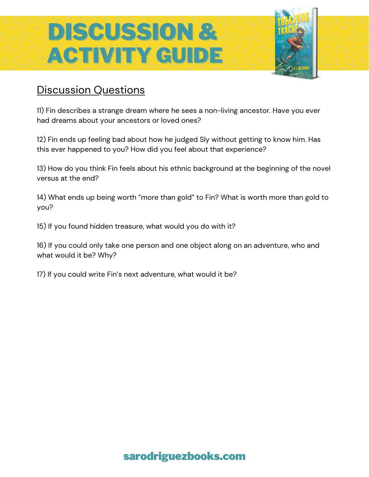# DISCUSSION & ACTIVITY GUIDE

#### Discussion Questions

11) Fin describes a strange dream where he sees a non-living ancestor. Have you ever had dreams about your ancestors or loved ones?

12) Fin ends up feeling bad about how he judged Sly without getting to know him. Has this ever happened to you? How did you feel about that experience?

13) How do you think Fin feels about his ethnic background at the beginning of the novel versus at the end?

14) What ends up being worth "more than gold" to Fin? What is worth more than gold to you?

15) If you found hidden treasure, what would you do with it?

16) If you could only take one person and one object along on an adventure, who and what would it be? Why?

17) If you could write Fin's next adventure, what would it be?

#### sarodriguezbooks.com